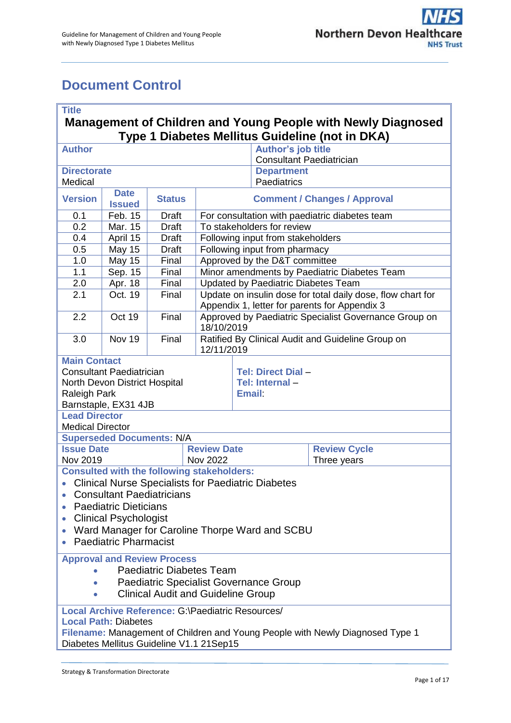# <span id="page-0-0"></span>**Document Control**

| <b>Title</b><br><b>Management of Children and Young People with Newly Diagnosed</b>                                                                                                                                                                                                             |               |                                                                                                                    |                                     |                                               |                                                                                                              |  |  |
|-------------------------------------------------------------------------------------------------------------------------------------------------------------------------------------------------------------------------------------------------------------------------------------------------|---------------|--------------------------------------------------------------------------------------------------------------------|-------------------------------------|-----------------------------------------------|--------------------------------------------------------------------------------------------------------------|--|--|
| Type 1 Diabetes Mellitus Guideline (not in DKA)                                                                                                                                                                                                                                                 |               |                                                                                                                    |                                     |                                               |                                                                                                              |  |  |
| <b>Author</b>                                                                                                                                                                                                                                                                                   |               |                                                                                                                    |                                     |                                               | <b>Author's job title</b>                                                                                    |  |  |
| <b>Directorate</b>                                                                                                                                                                                                                                                                              |               |                                                                                                                    |                                     |                                               | <b>Consultant Paediatrician</b>                                                                              |  |  |
| Medical                                                                                                                                                                                                                                                                                         |               |                                                                                                                    |                                     | <b>Department</b><br>Paediatrics              |                                                                                                              |  |  |
|                                                                                                                                                                                                                                                                                                 | <b>Date</b>   |                                                                                                                    |                                     |                                               |                                                                                                              |  |  |
| <b>Version</b>                                                                                                                                                                                                                                                                                  | <b>Issued</b> | <b>Status</b>                                                                                                      | <b>Comment / Changes / Approval</b> |                                               |                                                                                                              |  |  |
| 0.1                                                                                                                                                                                                                                                                                             | Feb. 15       | <b>Draft</b>                                                                                                       |                                     |                                               | For consultation with paediatric diabetes team                                                               |  |  |
| 0.2                                                                                                                                                                                                                                                                                             | Mar. 15       | <b>Draft</b>                                                                                                       |                                     | To stakeholders for review                    |                                                                                                              |  |  |
| 0.4                                                                                                                                                                                                                                                                                             | April 15      | <b>Draft</b>                                                                                                       |                                     | Following input from stakeholders             |                                                                                                              |  |  |
| 0.5                                                                                                                                                                                                                                                                                             | <b>May 15</b> | <b>Draft</b>                                                                                                       |                                     | Following input from pharmacy                 |                                                                                                              |  |  |
| 1.0                                                                                                                                                                                                                                                                                             | <b>May 15</b> | Final                                                                                                              |                                     | Approved by the D&T committee                 |                                                                                                              |  |  |
| 1.1                                                                                                                                                                                                                                                                                             | Sep. 15       | Final                                                                                                              |                                     |                                               | Minor amendments by Paediatric Diabetes Team                                                                 |  |  |
| 2.0                                                                                                                                                                                                                                                                                             | Apr. 18       | Final                                                                                                              |                                     | <b>Updated by Paediatric Diabetes Team</b>    |                                                                                                              |  |  |
| 2.1                                                                                                                                                                                                                                                                                             | Oct. 19       | Final                                                                                                              |                                     |                                               | Update on insulin dose for total daily dose, flow chart for<br>Appendix 1, letter for parents for Appendix 3 |  |  |
| 2.2                                                                                                                                                                                                                                                                                             | Oct 19        | Final                                                                                                              | 18/10/2019                          |                                               | Approved by Paediatric Specialist Governance Group on                                                        |  |  |
| 3.0                                                                                                                                                                                                                                                                                             | <b>Nov 19</b> | Final                                                                                                              | 12/11/2019                          |                                               | Ratified By Clinical Audit and Guideline Group on                                                            |  |  |
| <b>Main Contact</b><br>Tel: Direct Dial -<br><b>Consultant Paediatrician</b><br>Tel: Internal-<br>North Devon District Hospital<br>Raleigh Park<br><b>Email:</b><br>Barnstaple, EX31 4JB                                                                                                        |               |                                                                                                                    |                                     |                                               |                                                                                                              |  |  |
| <b>Lead Director</b>                                                                                                                                                                                                                                                                            |               |                                                                                                                    |                                     |                                               |                                                                                                              |  |  |
| <b>Medical Director</b>                                                                                                                                                                                                                                                                         |               |                                                                                                                    |                                     |                                               |                                                                                                              |  |  |
|                                                                                                                                                                                                                                                                                                 |               | <b>Superseded Documents: N/A</b>                                                                                   |                                     |                                               |                                                                                                              |  |  |
| <b>Issue Date</b>                                                                                                                                                                                                                                                                               |               |                                                                                                                    | <b>Review Date</b>                  |                                               | <b>Review Cycle</b>                                                                                          |  |  |
| Nov 2019                                                                                                                                                                                                                                                                                        |               |                                                                                                                    | <b>Nov 2022</b>                     |                                               | Three years                                                                                                  |  |  |
| <b>Consulted with the following stakeholders:</b><br>• Clinical Nurse Specialists for Paediatric Diabetes<br><b>Consultant Paediatricians</b><br><b>Paediatric Dieticians</b><br><b>Clinical Psychologist</b><br>Ward Manager for Caroline Thorpe Ward and SCBU<br><b>Paediatric Pharmacist</b> |               |                                                                                                                    |                                     |                                               |                                                                                                              |  |  |
|                                                                                                                                                                                                                                                                                                 |               | <b>Approval and Review Process</b><br><b>Paediatric Diabetes Team</b><br><b>Clinical Audit and Guideline Group</b> |                                     | <b>Paediatric Specialist Governance Group</b> |                                                                                                              |  |  |
| Local Archive Reference: G:\Paediatric Resources/<br><b>Local Path: Diabetes</b><br>Filename: Management of Children and Young People with Newly Diagnosed Type 1<br>Diabetes Mellitus Guideline V1.1 21Sep15                                                                                   |               |                                                                                                                    |                                     |                                               |                                                                                                              |  |  |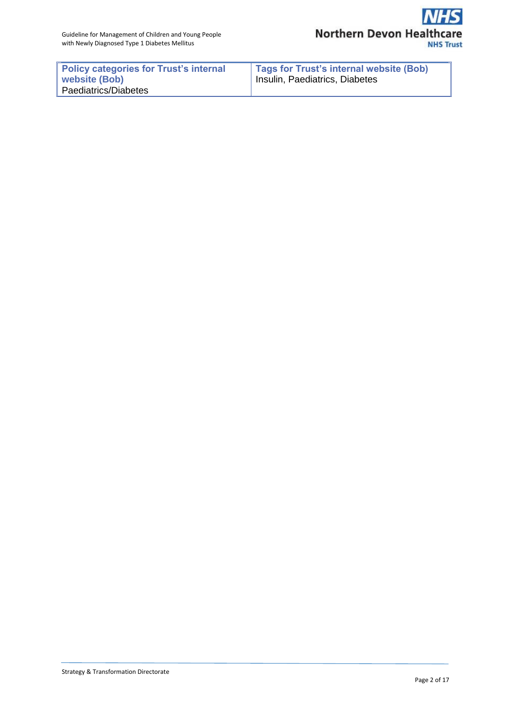| Policy categories for Trust's internal | <b>Tags for Trust's internal website (Bob)</b> |
|----------------------------------------|------------------------------------------------|
| <b>website (Bob)</b>                   | Insulin, Paediatrics, Diabetes                 |
| Paediatrics/Diabetes                   |                                                |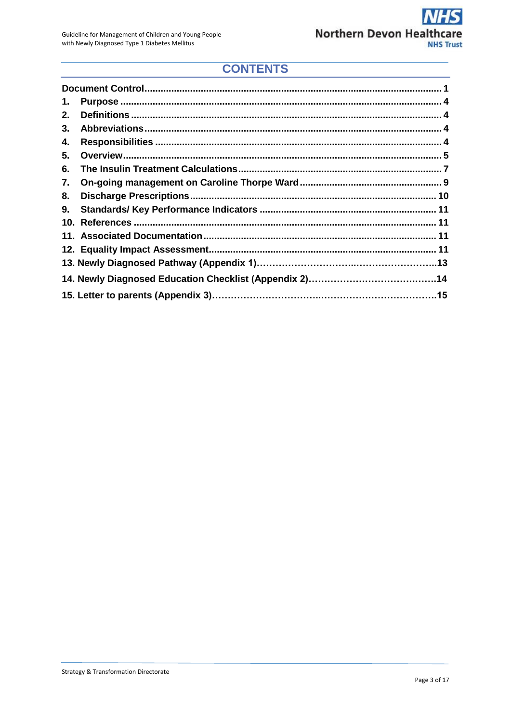# **CONTENTS**

| 1. |  |
|----|--|
| 2. |  |
| 3. |  |
| 4. |  |
| 5. |  |
| 6. |  |
| 7. |  |
| 8. |  |
| 9. |  |
|    |  |
|    |  |
|    |  |
|    |  |
|    |  |
|    |  |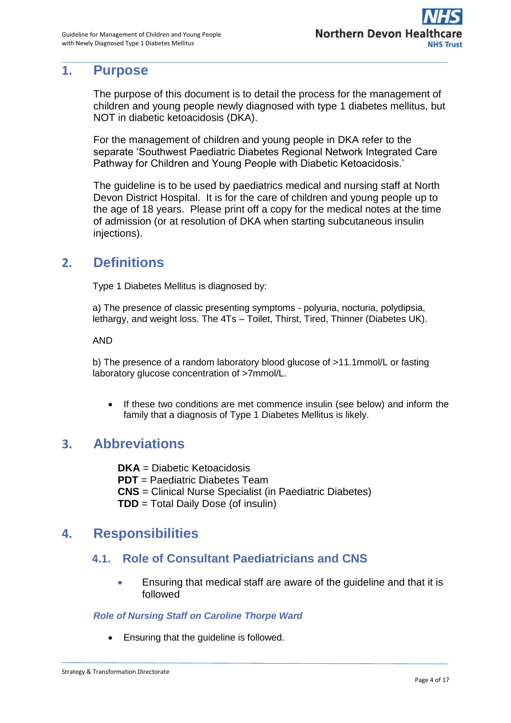### <span id="page-3-0"></span>**1. Purpose**

The purpose of this document is to detail the process for the management of children and young people newly diagnosed with type 1 diabetes mellitus, but NOT in diabetic ketoacidosis (DKA).

For the management of children and young people in DKA refer to the separate 'Southwest Paediatric Diabetes Regional Network Integrated Care Pathway for Children and Young People with Diabetic Ketoacidosis.'

The guideline is to be used by paediatrics medical and nursing staff at North Devon District Hospital. It is for the care of children and young people up to the age of 18 years. Please print off a copy for the medical notes at the time of admission (or at resolution of DKA when starting subcutaneous insulin injections).

# <span id="page-3-1"></span>**2. Definitions**

Type 1 Diabetes Mellitus is diagnosed by:

a) The presence of classic presenting symptoms - polyuria, nocturia, polydipsia, lethargy, and weight loss. The 4Ts – Toilet, Thirst, Tired, Thinner (Diabetes UK).

AND

b) The presence of a random laboratory blood glucose of >11.1mmol/L or fasting laboratory glucose concentration of >7mmol/L.

 If these two conditions are met commence insulin (see below) and inform the family that a diagnosis of Type 1 Diabetes Mellitus is likely.

### <span id="page-3-2"></span>**3. Abbreviations**

**DKA** = Diabetic Ketoacidosis **PDT** = Paediatric Diabetes Team **CNS** = Clinical Nurse Specialist (in Paediatric Diabetes) **TDD** = Total Daily Dose (of insulin)

# <span id="page-3-3"></span>**4. Responsibilities**

### **4.1. Role of Consultant Paediatricians and CNS**

 Ensuring that medical staff are aware of the guideline and that it is followed

#### *Role of Nursing Staff on Caroline Thorpe Ward*

Ensuring that the guideline is followed.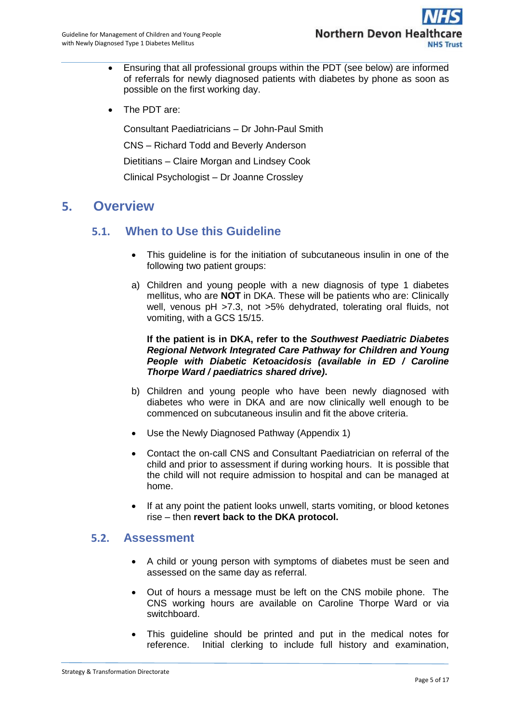- Ensuring that all professional groups within the PDT (see below) are informed of referrals for newly diagnosed patients with diabetes by phone as soon as possible on the first working day.
- The PDT are:

Consultant Paediatricians – Dr John-Paul Smith CNS – Richard Todd and Beverly Anderson Dietitians – Claire Morgan and Lindsey Cook Clinical Psychologist – Dr Joanne Crossley

# <span id="page-4-0"></span>**5. Overview**

### **5.1. When to Use this Guideline**

- This guideline is for the initiation of subcutaneous insulin in one of the following two patient groups:
- a) Children and young people with a new diagnosis of type 1 diabetes mellitus, who are **NOT** in DKA. These will be patients who are: Clinically well, venous pH >7.3, not >5% dehydrated, tolerating oral fluids, not vomiting, with a GCS 15/15.

#### **If the patient is in DKA, refer to the** *Southwest Paediatric Diabetes Regional Network Integrated Care Pathway for Children and Young People with Diabetic Ketoacidosis (available in ED / Caroline Thorpe Ward / paediatrics shared drive)***.**

- b) Children and young people who have been newly diagnosed with diabetes who were in DKA and are now clinically well enough to be commenced on subcutaneous insulin and fit the above criteria.
- Use the Newly Diagnosed Pathway (Appendix 1)
- Contact the on-call CNS and Consultant Paediatrician on referral of the child and prior to assessment if during working hours. It is possible that the child will not require admission to hospital and can be managed at home.
- If at any point the patient looks unwell, starts vomiting, or blood ketones rise – then **revert back to the DKA protocol.**

### **5.2. Assessment**

- A child or young person with symptoms of diabetes must be seen and assessed on the same day as referral.
- Out of hours a message must be left on the CNS mobile phone. The CNS working hours are available on Caroline Thorpe Ward or via switchboard.
- This guideline should be printed and put in the medical notes for reference. Initial clerking to include full history and examination,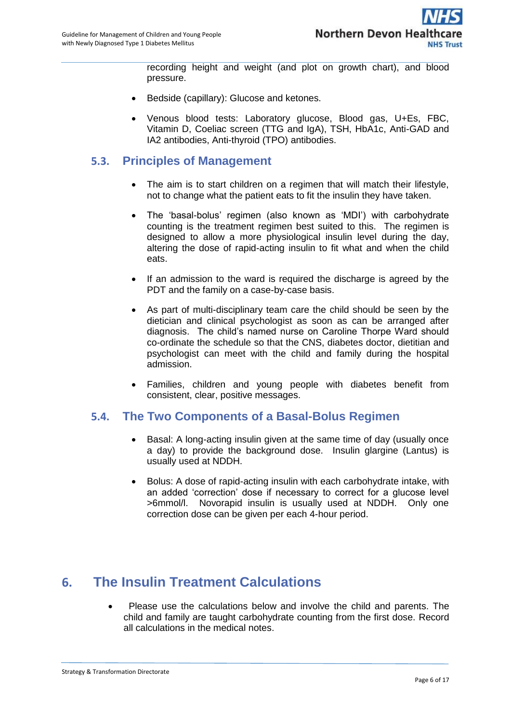recording height and weight (and plot on growth chart), and blood pressure.

- Bedside (capillary): Glucose and ketones.
- Venous blood tests: Laboratory glucose, Blood gas, U+Es, FBC, Vitamin D, Coeliac screen (TTG and IgA), TSH, HbA1c, Anti-GAD and IA2 antibodies, Anti-thyroid (TPO) antibodies.

### **5.3. Principles of Management**

- The aim is to start children on a regimen that will match their lifestyle, not to change what the patient eats to fit the insulin they have taken.
- The 'basal-bolus' regimen (also known as 'MDI') with carbohydrate counting is the treatment regimen best suited to this. The regimen is designed to allow a more physiological insulin level during the day, altering the dose of rapid-acting insulin to fit what and when the child eats.
- If an admission to the ward is required the discharge is agreed by the PDT and the family on a case-by-case basis.
- As part of multi-disciplinary team care the child should be seen by the dietician and clinical psychologist as soon as can be arranged after diagnosis. The child's named nurse on Caroline Thorpe Ward should co-ordinate the schedule so that the CNS, diabetes doctor, dietitian and psychologist can meet with the child and family during the hospital admission.
- Families, children and young people with diabetes benefit from consistent, clear, positive messages.

### **5.4. The Two Components of a Basal-Bolus Regimen**

- Basal: A long-acting insulin given at the same time of day (usually once a day) to provide the background dose. Insulin glargine (Lantus) is usually used at NDDH.
- Bolus: A dose of rapid-acting insulin with each carbohydrate intake, with an added 'correction' dose if necessary to correct for a glucose level >6mmol/l. Novorapid insulin is usually used at NDDH. Only one correction dose can be given per each 4-hour period.

# <span id="page-5-0"></span>**6. The Insulin Treatment Calculations**

 Please use the calculations below and involve the child and parents. The child and family are taught carbohydrate counting from the first dose. Record all calculations in the medical notes.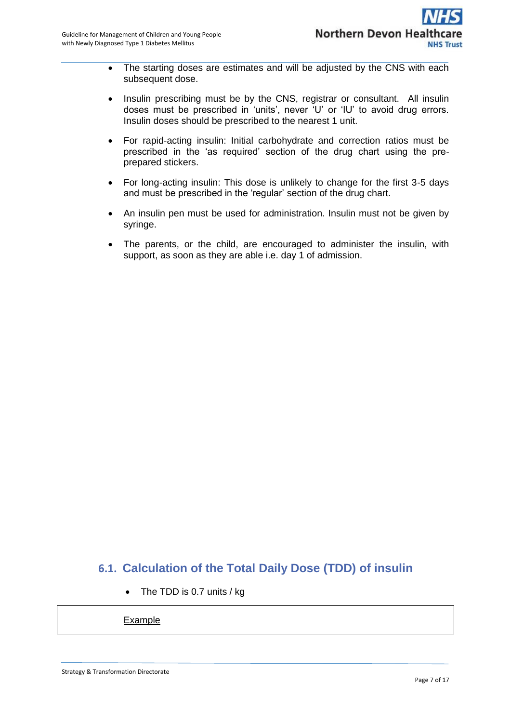- The starting doses are estimates and will be adjusted by the CNS with each subsequent dose.
- Insulin prescribing must be by the CNS, registrar or consultant. All insulin doses must be prescribed in 'units', never 'U' or 'IU' to avoid drug errors. Insulin doses should be prescribed to the nearest 1 unit.
- For rapid-acting insulin: Initial carbohydrate and correction ratios must be prescribed in the 'as required' section of the drug chart using the preprepared stickers.
- For long-acting insulin: This dose is unlikely to change for the first 3-5 days and must be prescribed in the 'regular' section of the drug chart.
- An insulin pen must be used for administration. Insulin must not be given by syringe.
- The parents, or the child, are encouraged to administer the insulin, with support, as soon as they are able i.e. day 1 of admission.

# **6.1. Calculation of the Total Daily Dose (TDD) of insulin**

• The TDD is 0.7 units / kg

Example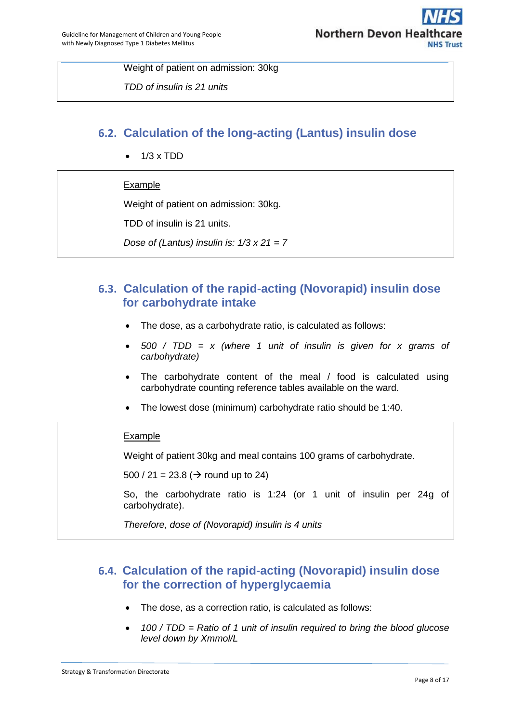Weight of patient on admission: 30kg

*TDD of insulin is 21 units*

# **6.2. Calculation of the long-acting (Lantus) insulin dose**

 $\bullet$  1/3 x TDD

#### Example

Weight of patient on admission: 30kg.

TDD of insulin is 21 units.

*Dose of (Lantus) insulin is: 1/3 x 21 = 7*

### **6.3. Calculation of the rapid-acting (Novorapid) insulin dose for carbohydrate intake**

- The dose, as a carbohydrate ratio, is calculated as follows:
- *500 / TDD = x (where 1 unit of insulin is given for x grams of carbohydrate)*
- The carbohydrate content of the meal / food is calculated using carbohydrate counting reference tables available on the ward.
- The lowest dose (minimum) carbohydrate ratio should be 1:40.

#### **Example**

Weight of patient 30kg and meal contains 100 grams of carbohydrate.

500 / 21 = 23.8 ( $\rightarrow$  round up to 24)

So, the carbohydrate ratio is 1:24 (or 1 unit of insulin per 24g of carbohydrate).

*Therefore, dose of (Novorapid) insulin is 4 units*

### **6.4. Calculation of the rapid-acting (Novorapid) insulin dose for the correction of hyperglycaemia**

- The dose, as a correction ratio, is calculated as follows:
- *100 / TDD = Ratio of 1 unit of insulin required to bring the blood glucose level down by Xmmol/L*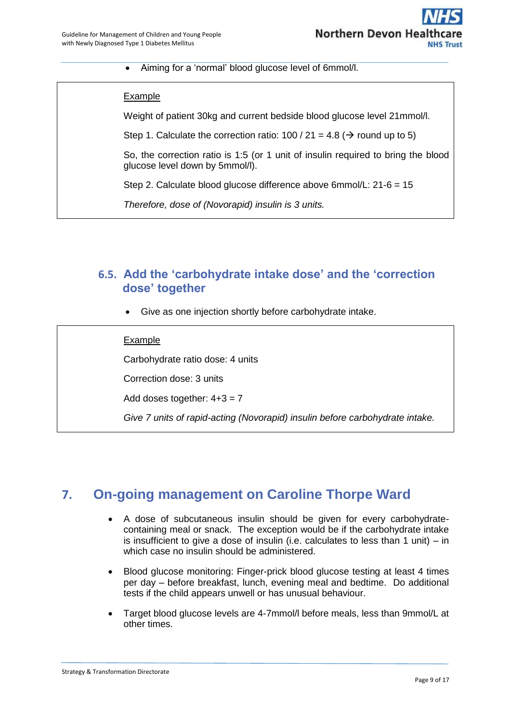Aiming for a 'normal' blood glucose level of 6mmol/l.

#### **Example**

Weight of patient 30kg and current bedside blood glucose level 21mmol/l.

Step 1. Calculate the correction ratio:  $100 / 21 = 4.8$  ( $\rightarrow$  round up to 5)

So, the correction ratio is 1:5 (or 1 unit of insulin required to bring the blood glucose level down by 5mmol/l).

Step 2. Calculate blood glucose difference above 6mmol/L: 21-6 = 15

*Therefore, dose of (Novorapid) insulin is 3 units.*

### **6.5. Add the 'carbohydrate intake dose' and the 'correction dose' together**

Give as one injection shortly before carbohydrate intake.

Example

Carbohydrate ratio dose: 4 units

Correction dose: 3 units

Add doses together: 4+3 = 7

*Give 7 units of rapid-acting (Novorapid) insulin before carbohydrate intake.*

# <span id="page-8-0"></span>**7. On-going management on Caroline Thorpe Ward**

- A dose of subcutaneous insulin should be given for every carbohydratecontaining meal or snack. The exception would be if the carbohydrate intake is insufficient to give a dose of insulin (i.e. calculates to less than 1 unit) – in which case no insulin should be administered.
- Blood glucose monitoring: Finger-prick blood glucose testing at least 4 times per day – before breakfast, lunch, evening meal and bedtime. Do additional tests if the child appears unwell or has unusual behaviour.
- Target blood glucose levels are 4-7mmol/l before meals, less than 9mmol/L at other times.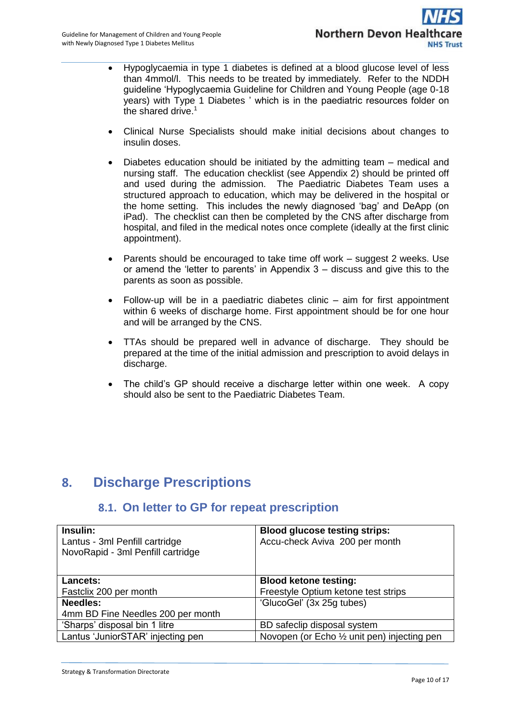- Hypoglycaemia in type 1 diabetes is defined at a blood glucose level of less than 4mmol/l. This needs to be treated by immediately. Refer to the NDDH guideline 'Hypoglycaemia Guideline for Children and Young People (age 0-18 years) with Type 1 Diabetes ' which is in the paediatric resources folder on the shared drive.<sup>1</sup>
- Clinical Nurse Specialists should make initial decisions about changes to insulin doses.
- Diabetes education should be initiated by the admitting team medical and nursing staff. The education checklist (see Appendix 2) should be printed off and used during the admission. The Paediatric Diabetes Team uses a structured approach to education, which may be delivered in the hospital or the home setting. This includes the newly diagnosed 'bag' and DeApp (on iPad). The checklist can then be completed by the CNS after discharge from hospital, and filed in the medical notes once complete (ideally at the first clinic appointment).
- Parents should be encouraged to take time off work suggest 2 weeks. Use or amend the 'letter to parents' in Appendix  $3 -$  discuss and give this to the parents as soon as possible.
- Follow-up will be in a paediatric diabetes clinic aim for first appointment within 6 weeks of discharge home. First appointment should be for one hour and will be arranged by the CNS.
- TTAs should be prepared well in advance of discharge. They should be prepared at the time of the initial admission and prescription to avoid delays in discharge.
- The child's GP should receive a discharge letter within one week. A copy should also be sent to the Paediatric Diabetes Team.

# <span id="page-9-0"></span>**8. Discharge Prescriptions**

### **8.1. On letter to GP for repeat prescription**

| Insulin:<br>Lantus - 3ml Penfill cartridge<br>NovoRapid - 3ml Penfill cartridge | <b>Blood glucose testing strips:</b><br>Accu-check Aviva 200 per month |  |  |  |
|---------------------------------------------------------------------------------|------------------------------------------------------------------------|--|--|--|
| Lancets:                                                                        | <b>Blood ketone testing:</b>                                           |  |  |  |
| Fastclix 200 per month                                                          | Freestyle Optium ketone test strips                                    |  |  |  |
| Needles:                                                                        | 'GlucoGel' (3x 25g tubes)                                              |  |  |  |
| 4mm BD Fine Needles 200 per month                                               |                                                                        |  |  |  |
| 'Sharps' disposal bin 1 litre                                                   | BD safeclip disposal system                                            |  |  |  |
| Lantus 'JuniorSTAR' injecting pen                                               | Novopen (or Echo 1/2 unit pen) injecting pen                           |  |  |  |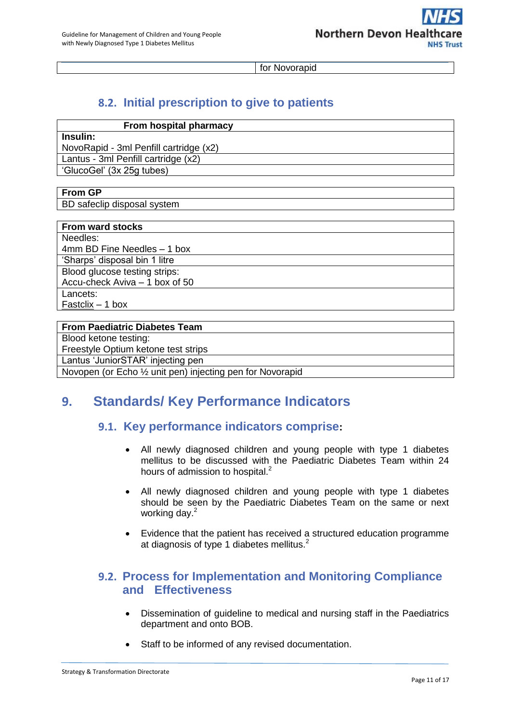for Novorapid

### **8.2. Initial prescription to give to patients**

| From hospital pharmacy                 |
|----------------------------------------|
| Insulin:                               |
| NovoRapid - 3ml Penfill cartridge (x2) |
| Lantus - 3ml Penfill cartridge (x2)    |
| 'GlucoGel' (3x 25g tubes)              |
|                                        |

### **From GP**

BD safeclip disposal system

| <b>From ward stocks</b>        |
|--------------------------------|
| Needles:                       |
| 4mm BD Fine Needles - 1 box    |
| 'Sharps' disposal bin 1 litre  |
| Blood glucose testing strips:  |
| Accu-check Aviva - 1 box of 50 |
| Lancets:                       |
| Fastclix - 1 box               |
|                                |

| <b>From Paediatric Diabetes Team</b>                       |
|------------------------------------------------------------|
| Blood ketone testing:                                      |
| Freestyle Optium ketone test strips                        |
| Lantus 'JuniorSTAR' injecting pen                          |
| Novopen (or Echo 1/2 unit pen) injecting pen for Novorapid |

# <span id="page-10-0"></span>**9. Standards/ Key Performance Indicators**

### **9.1. Key performance indicators comprise:**

- All newly diagnosed children and young people with type 1 diabetes mellitus to be discussed with the Paediatric Diabetes Team within 24 hours of admission to hospital.<sup>2</sup>
- All newly diagnosed children and young people with type 1 diabetes should be seen by the Paediatric Diabetes Team on the same or next working day.<sup>2</sup>
- Evidence that the patient has received a structured education programme at diagnosis of type 1 diabetes mellitus.<sup>2</sup>

### **9.2. Process for Implementation and Monitoring Compliance and Effectiveness**

- Dissemination of guideline to medical and nursing staff in the Paediatrics department and onto BOB.
- Staff to be informed of any revised documentation.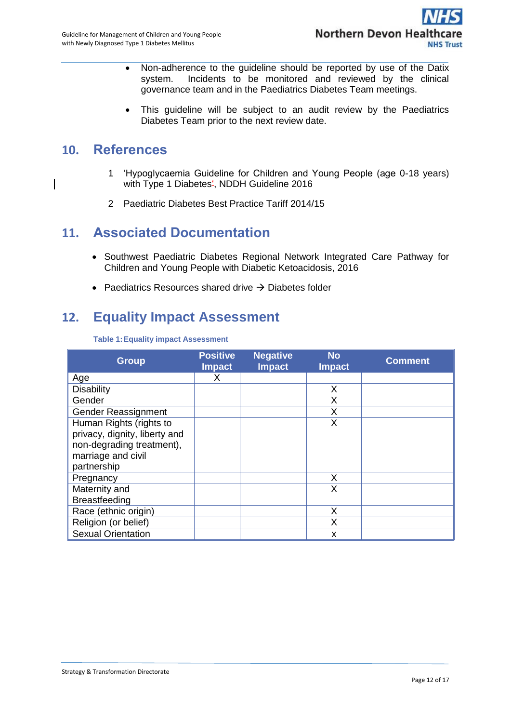- Non-adherence to the guideline should be reported by use of the Datix system. Incidents to be monitored and reviewed by the clinical governance team and in the Paediatrics Diabetes Team meetings.
- This guideline will be subject to an audit review by the Paediatrics Diabetes Team prior to the next review date.

# <span id="page-11-0"></span>**10. References**

- 1 'Hypoglycaemia Guideline for Children and Young People (age 0-18 years) with Type 1 Diabetes', NDDH Guideline 2016
- 2 Paediatric Diabetes Best Practice Tariff 2014/15

## <span id="page-11-1"></span>**11. Associated Documentation**

- Southwest Paediatric Diabetes Regional Network Integrated Care Pathway for Children and Young People with Diabetic Ketoacidosis, 2016
- Paediatrics Resources shared drive  $\rightarrow$  Diabetes folder

# <span id="page-11-2"></span>**12. Equality Impact Assessment**

| <b>Group</b>                  | <b>Positive</b><br><b>Impact</b> | <b>Negative</b><br><b>Impact</b> | <b>No</b><br><b>Impact</b> | <b>Comment</b> |
|-------------------------------|----------------------------------|----------------------------------|----------------------------|----------------|
| Age                           | Х                                |                                  |                            |                |
| <b>Disability</b>             |                                  |                                  | X                          |                |
| Gender                        |                                  |                                  | X                          |                |
| <b>Gender Reassignment</b>    |                                  |                                  | X                          |                |
| Human Rights (rights to       |                                  |                                  | X                          |                |
| privacy, dignity, liberty and |                                  |                                  |                            |                |
| non-degrading treatment),     |                                  |                                  |                            |                |
| marriage and civil            |                                  |                                  |                            |                |
| partnership                   |                                  |                                  |                            |                |
| Pregnancy                     |                                  |                                  | X                          |                |
| Maternity and                 |                                  |                                  | X                          |                |
| <b>Breastfeeding</b>          |                                  |                                  |                            |                |
| Race (ethnic origin)          |                                  |                                  | X                          |                |
| Religion (or belief)          |                                  |                                  | X                          |                |
| <b>Sexual Orientation</b>     |                                  |                                  | X                          |                |

**Table 1:Equality impact Assessment**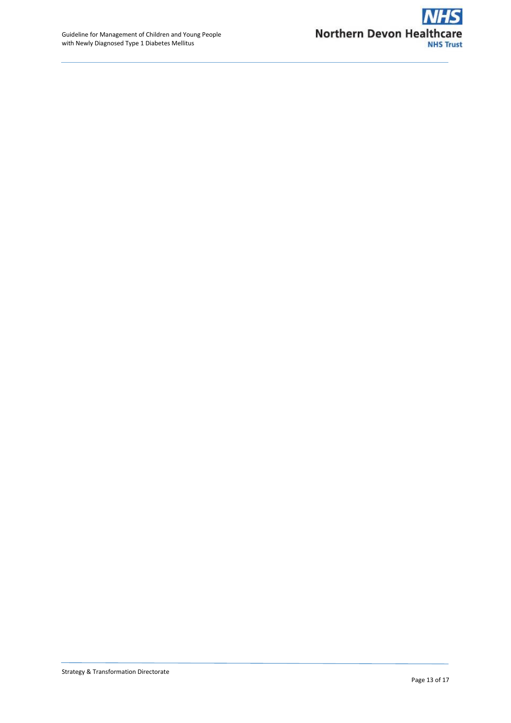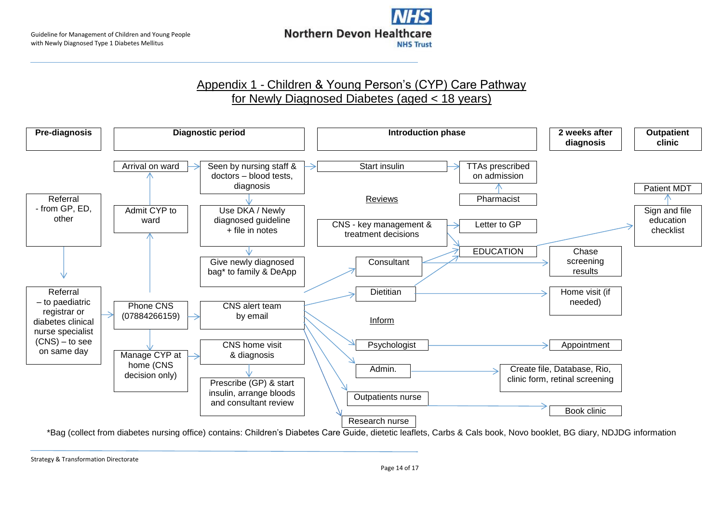## Appendix 1 - Children & Young Person's (CYP) Care Pathway for Newly Diagnosed Diabetes (aged < 18 years)



\*Bag (collect from diabetes nursing office) contains: Children's Diabetes Care Guide, dietetic leaflets, Carbs & Cals book, Novo booklet, BG diary, NDJDG information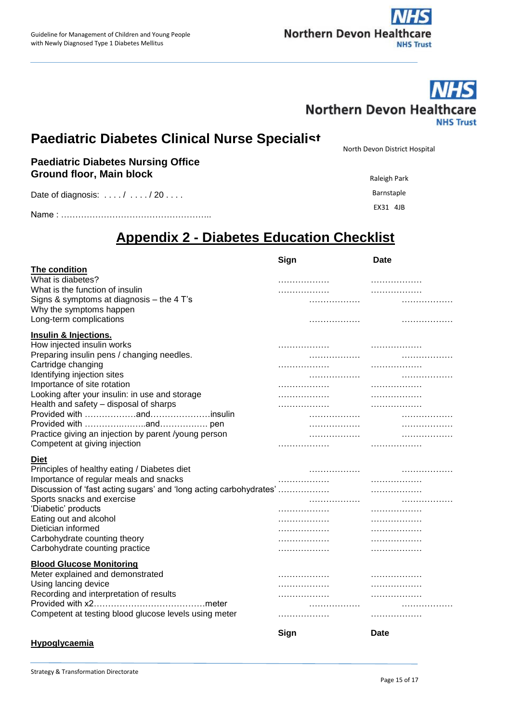# **Northern Devon Healthcare NHS Trust**

# **Paediatric Diabetes Clinical Nurse Specialist**

North Devon District Hospital

Raleigh Park Barnstaple EX31 4JB

Date of diagnosis: ..../ ..../20....

**Ground floor, Main block**

**Paediatric Diabetes Nursing Office**

Name : ……………………………………………..

# **Appendix 2 - Diabetes Education Checklist**

|                                                                    | Sign | <b>Date</b> |
|--------------------------------------------------------------------|------|-------------|
| <b>The condition</b>                                               |      |             |
| What is diabetes?                                                  | .    | .           |
| What is the function of insulin                                    | .    | .           |
| Signs & symptoms at diagnosis – the 4 T's                          | .    | .           |
| Why the symptoms happen                                            |      |             |
| Long-term complications                                            | .    | .           |
|                                                                    |      |             |
| <b>Insulin &amp; Injections.</b>                                   |      |             |
| How injected insulin works                                         | .    | .           |
| Preparing insulin pens / changing needles.                         | .    | .           |
| Cartridge changing                                                 | .    |             |
| Identifying injection sites                                        | .    |             |
| Importance of site rotation                                        | .    | .           |
| Looking after your insulin: in use and storage                     | .    |             |
| Health and safety – disposal of sharps                             |      |             |
|                                                                    | .    |             |
|                                                                    |      |             |
| Practice giving an injection by parent /young person               |      |             |
| Competent at giving injection                                      | .    | .           |
| <b>Diet</b>                                                        |      |             |
| Principles of healthy eating / Diabetes diet                       | .    | .           |
| Importance of regular meals and snacks                             | .    |             |
| Discussion of 'fast acting sugars' and 'long acting carbohydrates' |      | .           |
| Sports snacks and exercise                                         |      | .<br>.      |
| 'Diabetic' products                                                | .    | .           |
| Eating out and alcohol                                             | .    | .           |
| Dietician informed                                                 | .    | .           |
| Carbohydrate counting theory                                       | .    |             |
| Carbohydrate counting practice                                     |      | .           |
|                                                                    | .    |             |
| <b>Blood Glucose Monitoring</b>                                    |      |             |
| Meter explained and demonstrated                                   | .    | .           |
| Using lancing device                                               |      |             |
| Recording and interpretation of results                            | .    | .           |
|                                                                    | .    | .           |
| Competent at testing blood glucose levels using meter              | .    | .           |
|                                                                    |      |             |
|                                                                    | Sign | Date        |

#### **Hypoglycaemia**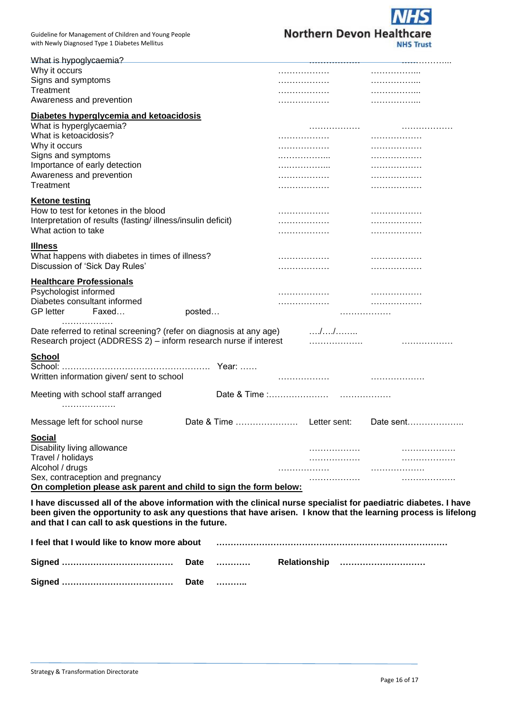Guideline for Management of Children and Young People with Newly Diagnosed Type 1 Diabetes Mellitus



| with Newly Diagnosed Type I Diabetes Menitus                                                                     |             |   |   |              | <b>NHS Irust</b> |  |
|------------------------------------------------------------------------------------------------------------------|-------------|---|---|--------------|------------------|--|
| What is hypoglycaemia?                                                                                           |             |   |   |              | <del>.</del>     |  |
| Why it occurs                                                                                                    |             |   |   | .            | .                |  |
| Signs and symptoms                                                                                               |             |   |   | .            | .                |  |
| Treatment                                                                                                        |             |   |   | .            | .                |  |
| Awareness and prevention                                                                                         |             |   |   | .            |                  |  |
|                                                                                                                  |             |   |   |              |                  |  |
| Diabetes hyperglycemia and ketoacidosis                                                                          |             |   |   |              |                  |  |
| What is hyperglycaemia?                                                                                          |             |   |   |              |                  |  |
| What is ketoacidosis?                                                                                            |             |   |   | .            | .                |  |
| Why it occurs                                                                                                    |             |   |   | .            | .                |  |
| Signs and symptoms                                                                                               |             |   |   | .            | .                |  |
| Importance of early detection                                                                                    |             |   |   |              | .                |  |
| Awareness and prevention                                                                                         |             |   |   | .            | .                |  |
| Treatment                                                                                                        |             |   |   | .            | .                |  |
|                                                                                                                  |             |   |   |              |                  |  |
| <b>Ketone testing</b>                                                                                            |             |   |   |              |                  |  |
| How to test for ketones in the blood                                                                             |             |   |   |              |                  |  |
| Interpretation of results (fasting/ illness/insulin deficit)                                                     |             |   |   | .            | .                |  |
| What action to take                                                                                              |             |   |   | .            | .                |  |
|                                                                                                                  |             |   |   |              |                  |  |
| <b>Illness</b>                                                                                                   |             |   |   |              |                  |  |
| What happens with diabetes in times of illness?                                                                  |             |   | . |              | .                |  |
| Discussion of 'Sick Day Rules'                                                                                   |             |   |   | .            | .                |  |
| <b>Healthcare Professionals</b>                                                                                  |             |   |   |              |                  |  |
| Psychologist informed                                                                                            |             |   |   |              |                  |  |
| Diabetes consultant informed                                                                                     |             |   |   | .            |                  |  |
|                                                                                                                  |             |   |   | .            | .                |  |
| <b>GP</b> letter<br>Faxed                                                                                        | posted      |   |   | .            |                  |  |
|                                                                                                                  |             |   |   |              |                  |  |
| Date referred to retinal screening? (refer on diagnosis at any age)                                              |             |   |   | .            |                  |  |
| Research project (ADDRESS 2) – inform research nurse if interest                                                 |             |   |   | .            | .                |  |
| <b>School</b>                                                                                                    |             |   |   |              |                  |  |
|                                                                                                                  |             |   |   |              |                  |  |
| Written information given/ sent to school                                                                        |             |   |   |              |                  |  |
|                                                                                                                  |             |   |   |              |                  |  |
| Meeting with school staff arranged                                                                               |             |   |   |              |                  |  |
| .                                                                                                                |             |   |   |              |                  |  |
|                                                                                                                  |             |   |   |              |                  |  |
| Message left for school nurse                                                                                    |             |   |   |              | Date sent        |  |
|                                                                                                                  |             |   |   |              |                  |  |
| <b>Social</b>                                                                                                    |             |   |   |              |                  |  |
| Disability living allowance                                                                                      |             |   |   | .            |                  |  |
| Travel / holidays                                                                                                |             |   |   | .            |                  |  |
| Alcohol / drugs                                                                                                  |             |   |   | .            | .                |  |
| Sex, contraception and pregnancy                                                                                 |             |   |   | .            | .                |  |
| On completion please ask parent and child to sign the form below:                                                |             |   |   |              |                  |  |
| I have discussed all of the above information with the clinical nurse specialist for paediatric diabetes. I have |             |   |   |              |                  |  |
| been given the opportunity to ask any questions that have arisen. I know that the learning process is lifelong   |             |   |   |              |                  |  |
|                                                                                                                  |             |   |   |              |                  |  |
| and that I can call to ask questions in the future.                                                              |             |   |   |              |                  |  |
|                                                                                                                  |             |   |   |              |                  |  |
| I feel that I would like to know more about                                                                      |             |   |   |              |                  |  |
|                                                                                                                  |             |   |   |              |                  |  |
|                                                                                                                  | <b>Date</b> | . |   | Relationship |                  |  |

**Signed ………………………………… Date ………..**

Strategy & Transformation Directorate